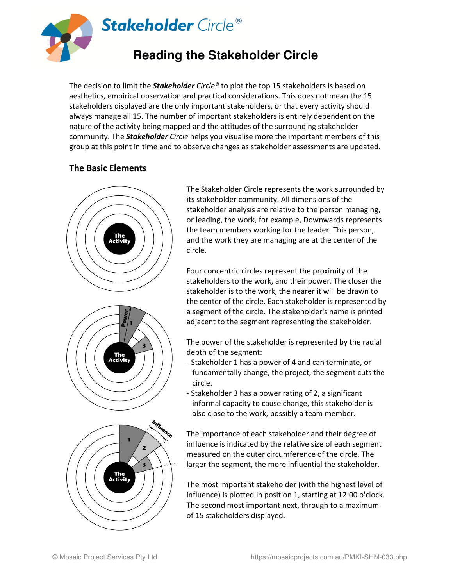

The decision to limit the *Stakeholder Circle®* to plot the top 15 stakeholders is based on aesthetics, empirical observation and practical considerations. This does not mean the 15 stakeholders displayed are the only important stakeholders, or that every activity should always manage all 15. The number of important stakeholders is entirely dependent on the nature of the activity being mapped and the attitudes of the surrounding stakeholder community. The *Stakeholder Circle* helps you visualise more the important members of this group at this point in time and to observe changes as stakeholder assessments are updated.

### **The Basic Elements**



The Stakeholder Circle represents the work surrounded by its stakeholder community. All dimensions of the stakeholder analysis are relative to the person managing, or leading, the work, for example, Downwards represents the team members working for the leader. This person, and the work they are managing are at the center of the circle.

Four concentric circles represent the proximity of the stakeholders to the work, and their power. The closer the stakeholder is to the work, the nearer it will be drawn to the center of the circle. Each stakeholder is represented by a segment of the circle. The stakeholder's name is printed adjacent to the segment representing the stakeholder.

The power of the stakeholder is represented by the radial depth of the segment:

- Stakeholder 1 has a power of 4 and can terminate, or fundamentally change, the project, the segment cuts the circle.
- Stakeholder 3 has a power rating of 2, a significant informal capacity to cause change, this stakeholder is also close to the work, possibly a team member.

The importance of each stakeholder and their degree of influence is indicated by the relative size of each segment measured on the outer circumference of the circle. The larger the segment, the more influential the stakeholder.

The most important stakeholder (with the highest level of influence) is plotted in position 1, starting at 12:00 o'clock. The second most important next, through to a maximum of 15 stakeholders displayed.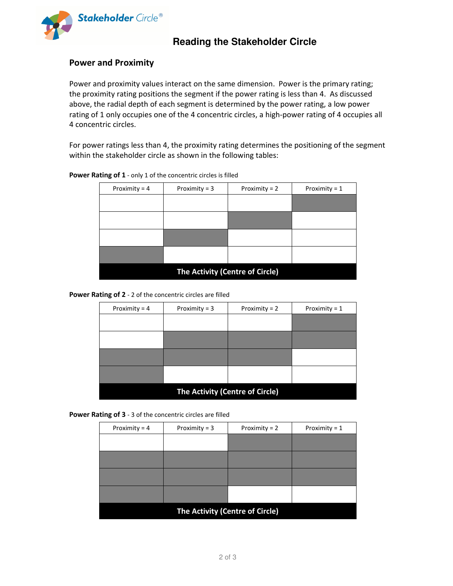

# **Reading the Stakeholder Circle**

#### **Power and Proximity**

Power and proximity values interact on the same dimension. Power is the primary rating; the proximity rating positions the segment if the power rating is less than 4. As discussed above, the radial depth of each segment is determined by the power rating, a low power rating of 1 only occupies one of the 4 concentric circles, a high-power rating of 4 occupies all 4 concentric circles.

For power ratings less than 4, the proximity rating determines the positioning of the segment within the stakeholder circle as shown in the following tables:

| Proximity = $4$                 | Proximity = $3$ | Proximity = $2$ | Proximity = $1$ |  |
|---------------------------------|-----------------|-----------------|-----------------|--|
|                                 |                 |                 |                 |  |
|                                 |                 |                 |                 |  |
|                                 |                 |                 |                 |  |
|                                 |                 |                 |                 |  |
|                                 |                 |                 |                 |  |
|                                 |                 |                 |                 |  |
|                                 |                 |                 |                 |  |
|                                 |                 |                 |                 |  |
| The Activity (Centre of Circle) |                 |                 |                 |  |

Power Rating of 1 - only 1 of the concentric circles is filled

**Power Rating of 2** - 2 of the concentric circles are filled

| Proximity = $3$                 | Proximity = $2$ | Proximity = $1$ |  |  |  |
|---------------------------------|-----------------|-----------------|--|--|--|
|                                 |                 |                 |  |  |  |
|                                 |                 |                 |  |  |  |
|                                 |                 |                 |  |  |  |
|                                 |                 |                 |  |  |  |
|                                 |                 |                 |  |  |  |
| The Activity (Centre of Circle) |                 |                 |  |  |  |
|                                 |                 |                 |  |  |  |

**Power Rating of 3** - 3 of the concentric circles are filled

| Proximity = $4$                 | Proximity = $3$ | Proximity = $2$ | Proximity = $1$ |  |
|---------------------------------|-----------------|-----------------|-----------------|--|
|                                 |                 |                 |                 |  |
|                                 |                 |                 |                 |  |
|                                 |                 |                 |                 |  |
|                                 |                 |                 |                 |  |
| The Activity (Centre of Circle) |                 |                 |                 |  |